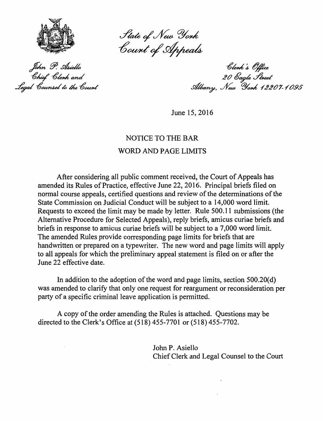

State of New York<br>Count of Appeals

John P. Asiello Ohief \*Olenk and Legal Counsel to the Count

Clerk's Office 20 Čagle Street<br>Albany, New York 12207-1095

June 15, 2016

## NOTICE TO THE BAR WORD AND PAGE LIMITS

After considering all public comment received, the Court of Appeals has amended its Rules of Practice, effective June 22, 2016. Principal briefs filed on normal course appeals, certified questions and review of the determinations of the State Commission on Judicial Conduct will be subject to a 14,000 word limit. Requests to exceed the limit may be made by letter. Rule 500.11 submissions (the Alternative Procedure for Selected Appeals), reply briefs, amicus curiae briefs and briefs in response to amicus curiae briefs will be subject to a 7 ,000 word limit. The amended Rules provide corresponding page limits for briefs that are handwritten or prepared on a typewriter. The new word and page limits will apply to all appeals for which the preliminary appeal statement is filed on or after the June 22 effective date.

In addition to the adoption of the word and page limits, section  $500.20(d)$ was amended to clarify that only one request for reargument or reconsideration per party of a specific criminal leave application is permitted.

A copy of the order amending the Rules is attached. Questions may be directed to the Clerk's Office at (518) 455-7701 or (518) 455-7702.

> John P. Asiello Chief Clerk and Legal Counsel to the Court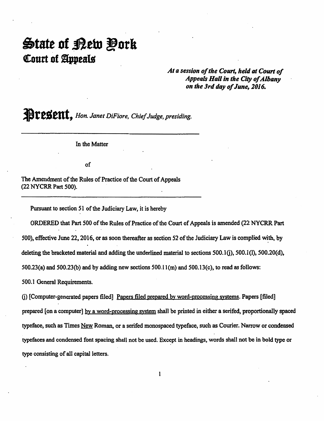## State of <u>P</u>etu Đork Court of Appeals

*At a session of the Court, held* at *Court of Appeals Hall in the City of* Albany *on the 3rd day of June, 2016.* 

**ABTEBENI**, *Hon. Janet DiFiore, Chief Judge, presiding.* 

In the Matter

of

The Amendment of the Rules of Practice of the Court of Appeals (22 NYCRR Part 500).

Pursuant to section 51 of the Judiciary Law, it is hereby

ORDERED that Part 500 of the Rules of Practice of the Court of Appeals is amended (22 NYCRR Part 500), effective June 22, 2016, or as soon thereafter as section 52 of the Judiciary Law is complied with, by deleting the bracketed material and adding the underlined material to sections  $500.1(i)$ ,  $500.1(i)$ ,  $500.20(i)$ ,  $500.23(a)$  and  $500.23(b)$  and by adding new sections  $500.11(m)$  and  $500.13(c)$ , to read as follows:

500.1 General Requirements.

0) [Computer-generated papers filed] Papers filed prepared by word-processing systems. Papers [filed] prepared [on a computer] by a word-processing system shall be printed in either a serifed, proportionally spaced typeface, such as Times New Roman, or a serifed monospaced typeface, such as Courier. Narrow or condensed typefaces and condensed font spacing shall not be used. Except in headings, words shall not be in bold type or type consisting of all capital letters.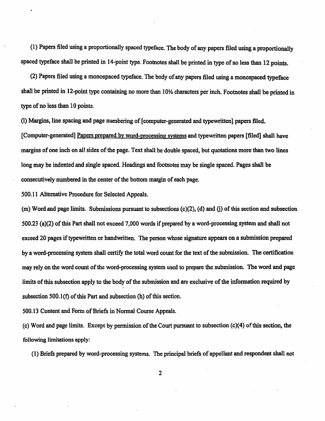(1) Papers filed using a proportionally spaced typeface. The body of any papers filed using a proportionally spaced typeface shall be printed in 14-point type. Footnotes shall be printed in type of no less than 12 points.

(2) Papers filed using a monospaced typeface. The body of any papers filed using a monospaced typeface shall be printed in 12-point type containing no more than 10½ characters per inch. Footnotes shall be printed in type of no less than 10 points.

(I) Margins, line spacing and page numbering of [computer-generated and typewritten] papers filed. [Computer-generated] Papers prepared by word-processing systems and typewritten papers [filed] shall have margins of one inch on all sides of the page. Text shall be double spaced, but quotations more than two lines long may be indented and single spaced. Headings and footnotes may be single spaced. Pages shall be consecutively numbered in the center of the bottom margin of each page.

500.11 Alternative Procedure for Selected Appeals.

 $(m)$  Word and page limits. Submissions pursuant to subsections  $(c)(2)$ ,  $(d)$  and  $(i)$  of this section and subsection 500.23 (a)(2) of this Part shall not exceed 7,000 words if prepared by a word-processing system and shall not exceed 20 pages if typewritten or handwritten. The person whose signature appears on a submission prepared by a word-processing system shall certify the total word count for the text of the submission. The certification may rely on the word count of the word-processing system used to prepare the submission. The word and page limits of this subsection apply to the body of the submission and are exclusive of the information required by subsection  $500.1(f)$  of this Part and subsection (h) of this section.

500.13 Content and Form of Briefs in Normal Course Appeals.

 $(c)$  Word and page limits. Except by permission of the Court pursuant to subsection  $(c)(4)$  of this section, the following limitations apply:

(1) Briefs prepared by word-processing systems. The principal briefs of appellant and respondent shall not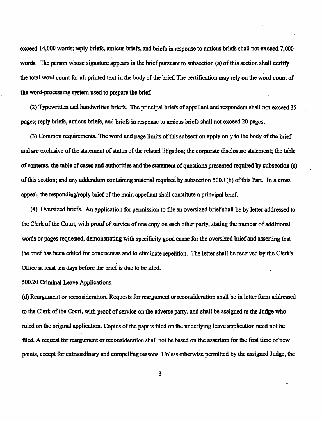exceed 14,000 words; reply briefs, amicus briefs, and briefs in response to amicus briefs shall not exceed 7,000 words. The person whose signature appears in the brief pursuant to subsection (a) of this section shall certify the total word count for all printed text in the body of the brief. The certification may rely on the word count of the word-processing system used to prepare the brief.

(2) Typewritten and handwritten briefs. The principal briefs of appellant and respondent shall not exceed 35 pages; reply briefs, amicus briefs, and briefs in response to amicus briefs shall not exceed 20 pages.

(3) Common requirements. The word and page limits of this subsection apply only to the body of the brief and are exclusive of the statement of status of the related litigation; the corporate disclosure statement; the table of contents, the table of cases and authorities and the statement of questions presented required by subsection (a) of this section; and any addendum containing material required by subsection 500.l(h) of this Part. In a cross appeal, the responding/reply brief of the main appellant shall constitute a principal brief.

( 4) Oversized briefs. An application for permission to file an oversized brief shall be by letter addressed to the Clerk of the Court, with proof of service of one copy on each other party, stating the number of additional words or pages requested, demonstrating with specificity good cause for the oversized brief and asserting that the brief has been edited for conciseness and to eliminate repetition. The letter shall be received by the Clerk's Office at least ten days before the brief is due to be filed.

500.20 Criminal Leave Applications.

( d) Reargument or reconsideration. Requests for reargument or reconsideration shall be in letter form addressed to the Clerk of the Court, with proof of service on the adverse party, and shall be assigned to the Judge who ruled on the original application. Copies of the papers filed on the underlying leave application need not be filed. A request for reargument or reconsideration shall not be based on the assertion for the first time of new points, except for extraordinary and compelling reasons. Unless otherwise permitted by the assigned Judge, the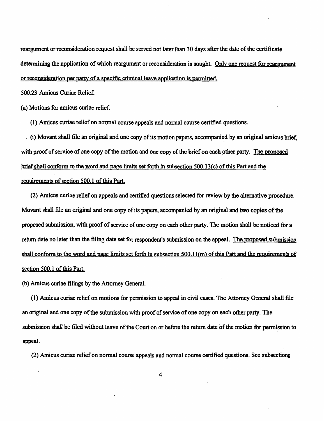reargument or reconsideration request shall be served not later than 30 days after the date of the certificate determining the application of which reargument or reconsideration is sought. Only one request for reargument or reconsideration per party of a specific criminal leave application is permitted.

500.23 Amicus Curiae Relief.

(a) Motions for amicus curiae relief.

(1) Amicus curiae relief on normal course appeals and normal course certified questions.

(i) Movant shall file an original and one copy of its motion papers, accompanied by an original amicus brief, with proof of service of one copy of the motion and one copy of the brief on each other party. The proposed brief shall conform to the word and page limits set forth in subsection 500.13(c) of this Part and the reguirements of section 500.1 of this Part.

(2) Amicus curiae relief on appeals and certified questions selected for review by the alternative procedure. Movant shall file an original and one copy of its papers, accompanied by an original and two copies of the proposed submission, with proof of service of one copy on each other party. The motion shall be noticed for a return date no later than the filing date set for respondent's submission on the appeal. The proposed submission shall conform to the word and page limits set forth in subsection 500.11 (m) of this Part and the requirements of section 500.1 of this Part.

(b) Amicus curiae filings by the Attorney General.

(1) Amicus curiae relief on motions for permission to appeal in civil cases. The Attorney General shall file an original and one copy of the submission with proof of service of one copy on each other party. The submission shall be filed without leave of the Court on or before the return date of the motion for permission to appeal.

(2) Amicus curiae relief on normal course appeals and normal course certified questions. See subsections